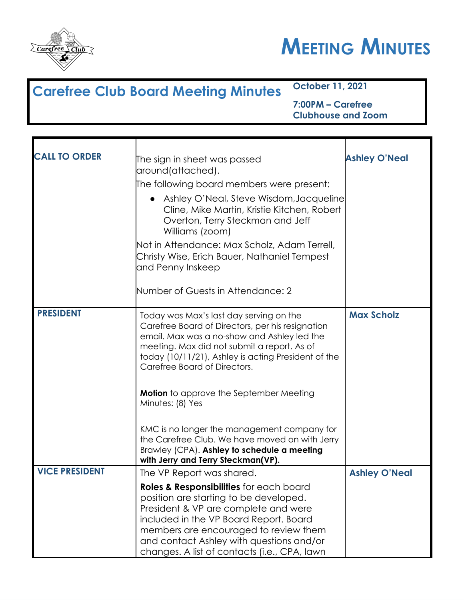



| <b>Carefree Club Board Meeting Minutes</b> | October 11, 2021                               |
|--------------------------------------------|------------------------------------------------|
|                                            | 7:00PM – Carefree<br><b>Clubhouse and Zoom</b> |

| <b>CALL TO ORDER</b>  | The sign in sheet was passed<br>around(attached).                                                                                                                                                                                                                                                        | <b>Ashley O'Neal</b> |
|-----------------------|----------------------------------------------------------------------------------------------------------------------------------------------------------------------------------------------------------------------------------------------------------------------------------------------------------|----------------------|
|                       | The following board members were present:                                                                                                                                                                                                                                                                |                      |
|                       | Ashley O'Neal, Steve Wisdom, Jacqueline<br>$\bullet$<br>Cline, Mike Martin, Kristie Kitchen, Robert<br>Overton, Terry Steckman and Jeff<br>Williams (zoom)                                                                                                                                               |                      |
|                       | Not in Attendance: Max Scholz, Adam Terrell,<br>Christy Wise, Erich Bauer, Nathaniel Tempest<br>and Penny Inskeep                                                                                                                                                                                        |                      |
|                       | Number of Guests in Attendance: 2                                                                                                                                                                                                                                                                        |                      |
| <b>PRESIDENT</b>      | Today was Max's last day serving on the<br>Carefree Board of Directors, per his resignation<br>email. Max was a no-show and Ashley led the<br>meeting. Max did not submit a report. As of<br>today (10/11/21), Ashley is acting President of the<br>Carefree Board of Directors.                         | <b>Max Scholz</b>    |
|                       | <b>Motion</b> to approve the September Meeting<br>Minutes: (8) Yes                                                                                                                                                                                                                                       |                      |
|                       | KMC is no longer the management company for<br>the Carefree Club. We have moved on with Jerry<br>Brawley (CPA). Ashley to schedule a meeting<br>with Jerry and Terry Steckman(VP).                                                                                                                       |                      |
| <b>VICE PRESIDENT</b> | The VP Report was shared.                                                                                                                                                                                                                                                                                | <b>Ashley O'Neal</b> |
|                       | Roles & Responsibilities for each board<br>position are starting to be developed.<br>President & VP are complete and were<br>included in the VP Board Report. Board<br>members are encouraged to review them<br>and contact Ashley with questions and/or<br>changes. A list of contacts (i.e., CPA, lawn |                      |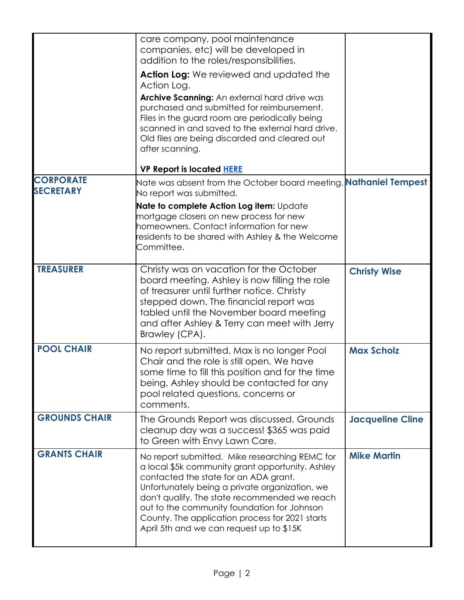|                                      | care company, pool maintenance<br>companies, etc) will be developed in<br>addition to the roles/responsibilities.                                                                                                                                                                                                                                                                            |                         |
|--------------------------------------|----------------------------------------------------------------------------------------------------------------------------------------------------------------------------------------------------------------------------------------------------------------------------------------------------------------------------------------------------------------------------------------------|-------------------------|
|                                      | <b>Action Log:</b> We reviewed and updated the<br>Action Log.                                                                                                                                                                                                                                                                                                                                |                         |
|                                      | Archive Scanning: An external hard drive was<br>purchased and submitted for reimbursement.<br>Files in the guard room are periodically being<br>scanned in and saved to the external hard drive.<br>Old files are being discarded and cleared out<br>after scanning.                                                                                                                         |                         |
|                                      | <b>VP Report is located HERE</b>                                                                                                                                                                                                                                                                                                                                                             |                         |
| <b>CORPORATE</b><br><b>SECRETARY</b> | Nate was absent from the October board meeting. <b>Nathaniel Tempest</b><br>No report was submitted.                                                                                                                                                                                                                                                                                         |                         |
|                                      | Nate to complete Action Log item: Update<br>mortgage closers on new process for new<br>homeowners. Contact information for new<br>residents to be shared with Ashley & the Welcome<br>Committee.                                                                                                                                                                                             |                         |
| <b>TREASURER</b>                     | Christy was on vacation for the October<br>board meeting. Ashley is now filling the role<br>of treasurer until further notice. Christy<br>stepped down. The financial report was<br>tabled until the November board meeting<br>and after Ashley & Terry can meet with Jerry<br>Brawley (CPA).                                                                                                | <b>Christy Wise</b>     |
| <b>POOL CHAIR</b>                    | No report submitted. Max is no longer Pool<br>Chair and the role is still open. We have<br>some time to fill this position and for the time<br>being, Ashley should be contacted for any<br>pool related questions, concerns or<br>comments.                                                                                                                                                 | <b>Max Scholz</b>       |
| <b>GROUNDS CHAIR</b>                 | The Grounds Report was discussed. Grounds<br>cleanup day was a success! \$365 was paid<br>to Green with Envy Lawn Care.                                                                                                                                                                                                                                                                      | <b>Jacqueline Cline</b> |
| <b>GRANTS CHAIR</b>                  | No report submitted. Mike researching REMC for<br>a local \$5k community grant opportunity. Ashley<br>contacted the state for an ADA grant.<br>Unfortunately being a private organization, we<br>don't qualify. The state recommended we reach<br>out to the community foundation for Johnson<br>County. The application process for 2021 starts<br>April 5th and we can request up to \$15K | <b>Mike Martin</b>      |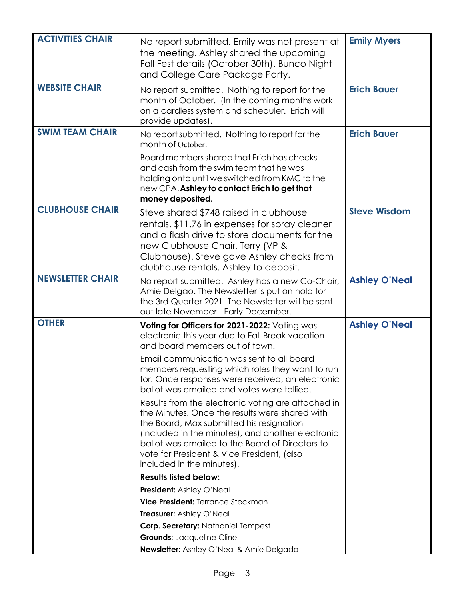| <b>ACTIVITIES CHAIR</b> | No report submitted. Emily was not present at<br>the meeting. Ashley shared the upcoming<br>Fall Fest details (October 30th). Bunco Night<br>and College Care Package Party.                                                                                                                                                        | <b>Emily Myers</b>   |
|-------------------------|-------------------------------------------------------------------------------------------------------------------------------------------------------------------------------------------------------------------------------------------------------------------------------------------------------------------------------------|----------------------|
| <b>WEBSITE CHAIR</b>    | No report submitted. Nothing to report for the<br>month of October. (In the coming months work<br>on a cardless system and scheduler. Erich will<br>provide updates).                                                                                                                                                               | <b>Erich Bauer</b>   |
| <b>SWIM TEAM CHAIR</b>  | No report submitted. Nothing to report for the<br>month of October.                                                                                                                                                                                                                                                                 | <b>Erich Bauer</b>   |
|                         | Board members shared that Erich has checks<br>and cash from the swim team that he was<br>holding onto until we switched from KMC to the<br>new CPA. Ashley to contact Erich to get that<br>money deposited.                                                                                                                         |                      |
| <b>CLUBHOUSE CHAIR</b>  | Steve shared \$748 raised in clubhouse<br>rentals. \$11.76 in expenses for spray cleaner<br>and a flash drive to store documents for the<br>new Clubhouse Chair, Terry (VP &<br>Clubhouse). Steve gave Ashley checks from<br>clubhouse rentals. Ashley to deposit.                                                                  | <b>Steve Wisdom</b>  |
| <b>NEWSLETTER CHAIR</b> | No report submitted. Ashley has a new Co-Chair,<br>Amie Delgao. The Newsletter is put on hold for<br>the 3rd Quarter 2021. The Newsletter will be sent<br>out late November - Early December.                                                                                                                                       | <b>Ashley O'Neal</b> |
| <b>OTHER</b>            | Voting for Officers for 2021-2022: Voting was<br>electronic this year due to Fall Break vacation<br>and board members out of town.                                                                                                                                                                                                  | <b>Ashley O'Neal</b> |
|                         | Email communication was sent to all board<br>members requesting which roles they want to run<br>for. Once responses were received, an electronic<br>ballot was emailed and votes were tallied.                                                                                                                                      |                      |
|                         | Results from the electronic voting are attached in<br>the Minutes. Once the results were shared with<br>the Board, Max submitted his resignation<br>(included in the minutes), and another electronic<br>ballot was emailed to the Board of Directors to<br>vote for President & Vice President, (also<br>included in the minutes). |                      |
|                         | <b>Results listed below:</b>                                                                                                                                                                                                                                                                                                        |                      |
|                         | <b>President:</b> Ashley O'Neal                                                                                                                                                                                                                                                                                                     |                      |
|                         | Vice President: Terrance Steckman                                                                                                                                                                                                                                                                                                   |                      |
|                         | Treasurer: Ashley O'Neal                                                                                                                                                                                                                                                                                                            |                      |
|                         |                                                                                                                                                                                                                                                                                                                                     |                      |
|                         | Corp. Secretary: Nathaniel Tempest                                                                                                                                                                                                                                                                                                  |                      |
|                         | <b>Grounds: Jacqueline Cline</b><br><b>Newsletter:</b> Ashley O'Neal & Amie Delgado                                                                                                                                                                                                                                                 |                      |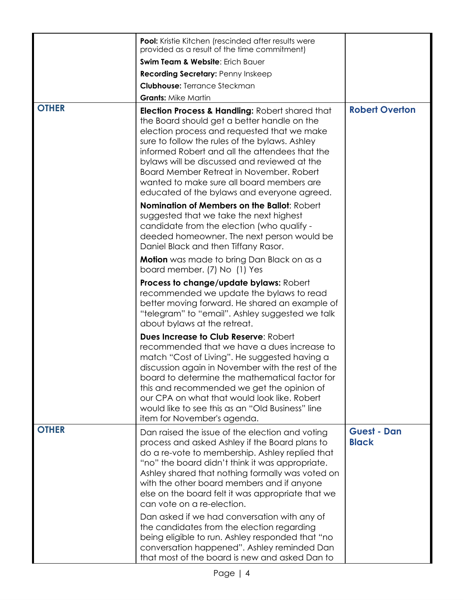|              | <b>Pool:</b> Kristie Kitchen (rescinded after results were<br>provided as a result of the time commitment)                                                                                                                                                                                                                                                                                                                                           |                                    |
|--------------|------------------------------------------------------------------------------------------------------------------------------------------------------------------------------------------------------------------------------------------------------------------------------------------------------------------------------------------------------------------------------------------------------------------------------------------------------|------------------------------------|
|              | Swim Team & Website: Erich Bauer                                                                                                                                                                                                                                                                                                                                                                                                                     |                                    |
|              | <b>Recording Secretary: Penny Inskeep</b>                                                                                                                                                                                                                                                                                                                                                                                                            |                                    |
|              | <b>Clubhouse: Terrance Steckman</b>                                                                                                                                                                                                                                                                                                                                                                                                                  |                                    |
|              | <b>Grants: Mike Martin</b>                                                                                                                                                                                                                                                                                                                                                                                                                           |                                    |
| <b>OTHER</b> | <b>Election Process &amp; Handling: Robert shared that</b><br>the Board should get a better handle on the<br>election process and requested that we make<br>sure to follow the rules of the bylaws. Ashley<br>informed Robert and all the attendees that the<br>bylaws will be discussed and reviewed at the<br>Board Member Retreat in November, Robert<br>wanted to make sure all board members are<br>educated of the bylaws and everyone agreed. | <b>Robert Overton</b>              |
|              | Nomination of Members on the Ballot: Robert<br>suggested that we take the next highest<br>candidate from the election (who qualify -<br>deeded homeowner. The next person would be<br>Daniel Black and then Tiffany Rasor.                                                                                                                                                                                                                           |                                    |
|              | <b>Motion</b> was made to bring Dan Black on as a<br>board member. (7) No (1) Yes                                                                                                                                                                                                                                                                                                                                                                    |                                    |
|              | Process to change/update bylaws: Robert<br>recommended we update the bylaws to read<br>better moving forward. He shared an example of<br>"telegram" to "email". Ashley suggested we talk<br>about bylaws at the retreat.                                                                                                                                                                                                                             |                                    |
|              | Dues Increase to Club Reserve: Robert<br>recommended that we have a dues increase to<br>match "Cost of Living". He suggested having a<br>discussion again in November with the rest of the<br>board to determine the mathematical factor for<br>this and recommended we get the opinion of<br>our CPA on what that would look like. Robert<br>would like to see this as an "Old Business" line<br>item for November's agenda.                        |                                    |
| <b>OTHER</b> | Dan raised the issue of the election and voting<br>process and asked Ashley if the Board plans to<br>do a re-vote to membership. Ashley replied that<br>"no" the board didn't think it was appropriate.<br>Ashley shared that nothing formally was voted on<br>with the other board members and if anyone<br>else on the board felt it was appropriate that we<br>can vote on a re-election.                                                         | <b>Guest - Dan</b><br><b>Black</b> |
|              | Dan asked if we had conversation with any of<br>the candidates from the election regarding<br>being eligible to run. Ashley responded that "no<br>conversation happened". Ashley reminded Dan<br>that most of the board is new and asked Dan to                                                                                                                                                                                                      |                                    |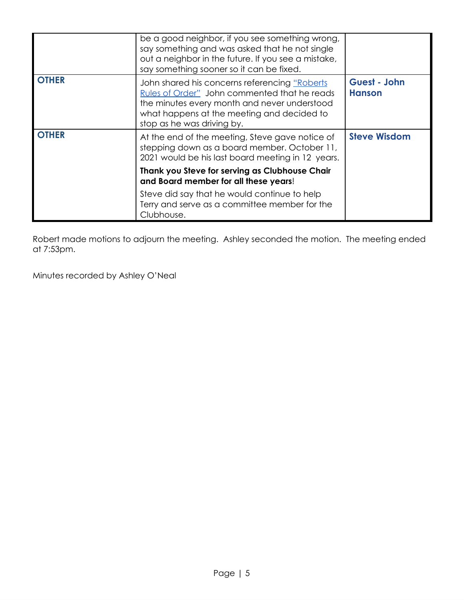|              | be a good neighbor, if you see something wrong,<br>say something and was asked that he not single<br>out a neighbor in the future. If you see a mistake,<br>say something sooner so it can be fixed.                       |                               |
|--------------|----------------------------------------------------------------------------------------------------------------------------------------------------------------------------------------------------------------------------|-------------------------------|
| <b>OTHER</b> | John shared his concerns referencing "Roberts"<br>Rules of Order" John commented that he reads<br>the minutes every month and never understood<br>what happens at the meeting and decided to<br>stop as he was driving by. | Guest - John<br><b>Hanson</b> |
| <b>OTHER</b> | At the end of the meeting, Steve gave notice of<br>stepping down as a board member. October 11,<br>2021 would be his last board meeting in 12 years.                                                                       | <b>Steve Wisdom</b>           |
|              | Thank you Steve for serving as Clubhouse Chair<br>and Board member for all these years!                                                                                                                                    |                               |
|              | Steve did say that he would continue to help<br>Terry and serve as a committee member for the<br>Clubhouse.                                                                                                                |                               |

Robert made motions to adjourn the meeting. Ashley seconded the motion. The meeting ended at 7:53pm.

Minutes recorded by Ashley O'Neal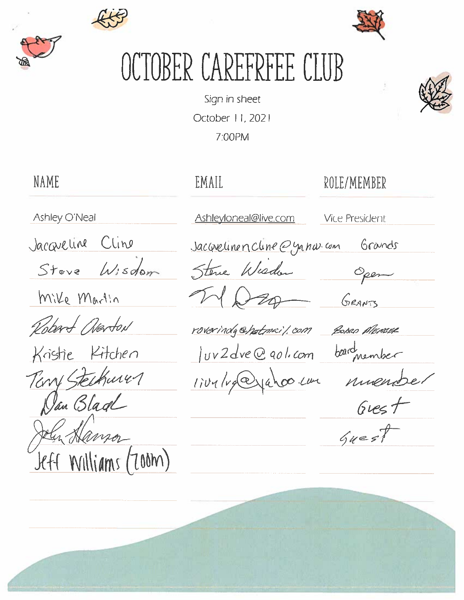



TOBER CAREFREEE CLUB

Sign in sheet October 11, 2021 7:00PM

EMAIL

## ROLE/MEMBER

Ashley O'Neal

**NAME** 

Jacqueline Cline

Steve Wisdom

Mike Martin

Robert Overton

Kristie Kitchen Terry Steckurer Dan Black Jely Hanson Jeff Williams (Zoom)

Ashleyloneal@live.com

**Vice President** 

Grands

Open

Jacquelinen Cline @yanarcom

Sterne Wieden  $70$ 

GRANTS

roverindy@hatmail.com POBRO MEASER luv2dve@gol.com bardmember

1ive/redjahoo.com nuende.

 $6$ rest

 $6u=$ st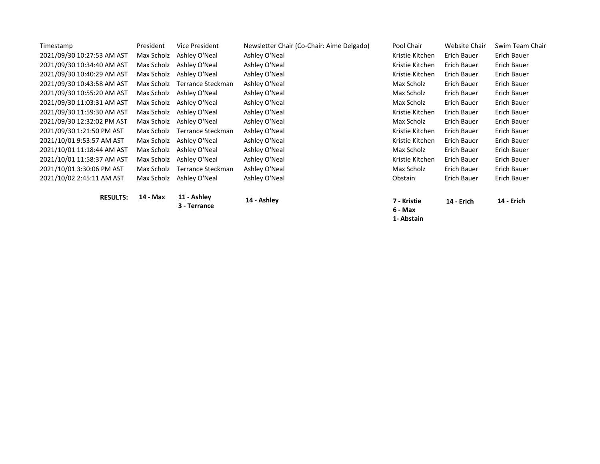| Timestamp                  | President  | Vice President              | Newsletter Chair (Co-Chair: Aime Delgado) | Pool Chair             | <b>Website Chair</b> | Swim Team Chair    |
|----------------------------|------------|-----------------------------|-------------------------------------------|------------------------|----------------------|--------------------|
| 2021/09/30 10:27:53 AM AST | Max Scholz | Ashley O'Neal               | Ashley O'Neal                             | Kristie Kitchen        | Erich Bauer          | Erich Bauer        |
| 2021/09/30 10:34:40 AM AST | Max Scholz | Ashley O'Neal               | Ashley O'Neal                             | Kristie Kitchen        | Erich Bauer          | Erich Bauer        |
| 2021/09/30 10:40:29 AM AST | Max Scholz | Ashley O'Neal               | Ashley O'Neal                             | Kristie Kitchen        | Erich Bauer          | Erich Bauer        |
| 2021/09/30 10:43:58 AM AST | Max Scholz | Terrance Steckman           | Ashley O'Neal                             | Max Scholz             | Erich Bauer          | Erich Bauer        |
| 2021/09/30 10:55:20 AM AST | Max Scholz | Ashley O'Neal               | Ashley O'Neal                             | Max Scholz             | Erich Bauer          | Erich Bauer        |
| 2021/09/30 11:03:31 AM AST | Max Scholz | Ashley O'Neal               | Ashley O'Neal                             | Max Scholz             | Erich Bauer          | Erich Bauer        |
| 2021/09/30 11:59:30 AM AST | Max Scholz | Ashley O'Neal               | Ashley O'Neal                             | Kristie Kitchen        | Erich Bauer          | Erich Bauer        |
| 2021/09/30 12:32:02 PM AST | Max Scholz | Ashley O'Neal               | Ashley O'Neal                             | Max Scholz             | Erich Bauer          | Erich Bauer        |
| 2021/09/30 1:21:50 PM AST  | Max Scholz | <b>Terrance Steckman</b>    | Ashley O'Neal                             | Kristie Kitchen        | Erich Bauer          | <b>Erich Bauer</b> |
| 2021/10/01 9:53:57 AM AST  | Max Scholz | Ashley O'Neal               | Ashley O'Neal                             | Kristie Kitchen        | Erich Bauer          | Erich Bauer        |
| 2021/10/01 11:18:44 AM AST | Max Scholz | Ashley O'Neal               | Ashley O'Neal                             | Max Scholz             | Erich Bauer          | <b>Erich Bauer</b> |
| 2021/10/01 11:58:37 AM AST | Max Scholz | Ashley O'Neal               | Ashley O'Neal                             | Kristie Kitchen        | Erich Bauer          | Erich Bauer        |
| 2021/10/01 3:30:06 PM AST  | Max Scholz | Terrance Steckman           | Ashley O'Neal                             | Max Scholz             | Erich Bauer          | <b>Erich Bauer</b> |
| 2021/10/02 2:45:11 AM AST  | Max Scholz | Ashley O'Neal               | Ashley O'Neal                             | Obstain                | Erich Bauer          | Erich Bauer        |
|                            |            |                             |                                           |                        |                      |                    |
| <b>RESULTS:</b>            | 14 - Max   | 11 - Ashley<br>3 - Terrance | 14 - Ashley                               | 7 - Kristie<br>6 - Max | <b>14 - Erich</b>    | 14 - Erich         |

**1- Abstain**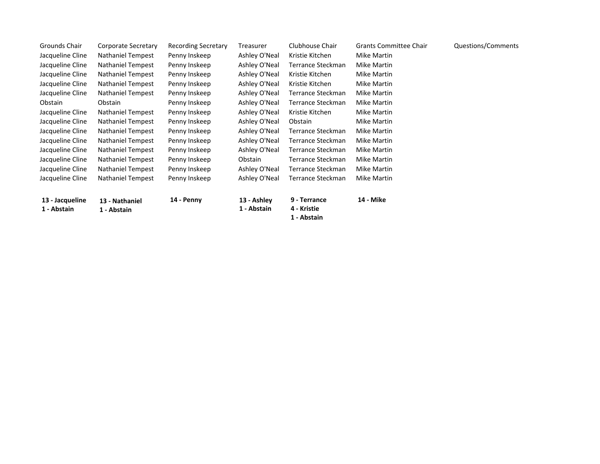| Grounds Chair    | Corporate Secretary      | <b>Recording Secretary</b> | Treasurer     | Clubhouse Chair            | <b>Grants Committee Chair</b> | Questions/Comments |
|------------------|--------------------------|----------------------------|---------------|----------------------------|-------------------------------|--------------------|
| Jacqueline Cline | <b>Nathaniel Tempest</b> | Penny Inskeep              | Ashley O'Neal | Kristie Kitchen            | Mike Martin                   |                    |
| Jacqueline Cline | <b>Nathaniel Tempest</b> | Penny Inskeep              | Ashley O'Neal | Terrance Steckman          | Mike Martin                   |                    |
| Jacqueline Cline | <b>Nathaniel Tempest</b> | Penny Inskeep              | Ashley O'Neal | Kristie Kitchen            | Mike Martin                   |                    |
| Jacqueline Cline | <b>Nathaniel Tempest</b> | Penny Inskeep              | Ashley O'Neal | Kristie Kitchen            | Mike Martin                   |                    |
| Jacqueline Cline | <b>Nathaniel Tempest</b> | Penny Inskeep              | Ashley O'Neal | Terrance Steckman          | Mike Martin                   |                    |
| Obstain          | Obstain                  | Penny Inskeep              | Ashley O'Neal | Terrance Steckman          | Mike Martin                   |                    |
| Jacqueline Cline | <b>Nathaniel Tempest</b> | Penny Inskeep              | Ashley O'Neal | Kristie Kitchen            | Mike Martin                   |                    |
| Jacqueline Cline | <b>Nathaniel Tempest</b> | Penny Inskeep              | Ashley O'Neal | Obstain                    | Mike Martin                   |                    |
| Jacqueline Cline | <b>Nathaniel Tempest</b> | Penny Inskeep              | Ashley O'Neal | Terrance Steckman          | Mike Martin                   |                    |
| Jacqueline Cline | <b>Nathaniel Tempest</b> | Penny Inskeep              | Ashley O'Neal | Terrance Steckman          | Mike Martin                   |                    |
| Jacqueline Cline | <b>Nathaniel Tempest</b> | Penny Inskeep              | Ashley O'Neal | Terrance Steckman          | Mike Martin                   |                    |
| Jacqueline Cline | <b>Nathaniel Tempest</b> | Penny Inskeep              | Obstain       | Terrance Steckman          | Mike Martin                   |                    |
| Jacqueline Cline | <b>Nathaniel Tempest</b> | Penny Inskeep              | Ashley O'Neal | Terrance Steckman          | Mike Martin                   |                    |
| Jacqueline Cline | <b>Nathaniel Tempest</b> | Penny Inskeep              | Ashley O'Neal | Terrance Steckman          | <b>Mike Martin</b>            |                    |
| 13 - Jacqueline  | 13 - Nathaniel           | 14 - Penny                 | 13 - Ashley   | 9 - Terrance               | 14 - Mike                     |                    |
| 1 - Abstain      | 1 - Abstain              |                            | 1 - Abstain   | 4 - Kristie<br>1 - Abstain |                               |                    |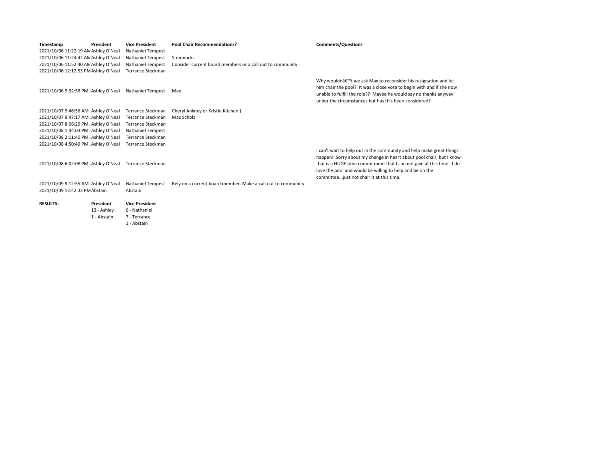| Timestamp<br>2021/10/06 11:22:19 AN Ashley O'Neal | President        | <b>Vice President</b><br><b>Nathaniel Tempest</b> | <b>Pool Chair Recommendations?</b>                            | <b>Comments/Questions</b>                                                                                                                                                                              |
|---------------------------------------------------|------------------|---------------------------------------------------|---------------------------------------------------------------|--------------------------------------------------------------------------------------------------------------------------------------------------------------------------------------------------------|
| 2021/10/06 11:24:42 AN Ashley O'Neal              |                  | <b>Nathaniel Tempest</b>                          | Stemnocks                                                     |                                                                                                                                                                                                        |
| 2021/10/06 11:52:40 AN Ashley O'Neal              |                  | <b>Nathaniel Tempest</b>                          | Consider current board members or a call out to community     |                                                                                                                                                                                                        |
| 2021/10/06 12:12:53 PM Ashley O'Neal              |                  | <b>Terrance Steckman</b>                          |                                                               |                                                                                                                                                                                                        |
| 2021/10/06 9:32:58 PM , Ashley O'Neal             |                  | <b>Nathaniel Tempest</b>                          | Max                                                           | Why wouldn't we ask Max to reconsider his r<br>him chair the pool? It was a close vote to begin<br>unable to fulfill the role?? Maybe he would say<br>under the circumstances but has this been consi- |
| 2021/10/07 9:46:56 AM Ashley O'Neal               |                  | Terrance Steckman                                 | Cheryl Ankney or Kristie Kitchen:)                            |                                                                                                                                                                                                        |
| 2021/10/07 9:47:17 AM Ashley O'Neal               |                  | Terrance Steckman                                 | Max Scholz                                                    |                                                                                                                                                                                                        |
| 2021/10/07 8:06:29 PM , Ashley O'Neal             |                  | <b>Terrance Steckman</b>                          |                                                               |                                                                                                                                                                                                        |
| 2021/10/08 1:44:03 PM . Ashley O'Neal             |                  | <b>Nathaniel Tempest</b>                          |                                                               |                                                                                                                                                                                                        |
| 2021/10/08 2:11:40 PM , Ashley O'Neal             |                  | <b>Terrance Steckman</b>                          |                                                               |                                                                                                                                                                                                        |
| 2021/10/08 4:50:49 PM , Ashley O'Neal             |                  | <b>Terrance Steckman</b>                          |                                                               |                                                                                                                                                                                                        |
|                                                   |                  |                                                   |                                                               | I can't wait to help out in the community and he<br>happen! Sorry about my change in heart about                                                                                                       |
| 2021/10/08 6:02:08 PM , Ashley O'Neal             |                  | Terrance Steckman                                 |                                                               | that is a HUGE time commitment that I can not g<br>love the pool and would be willing to help and be<br>committee just not chair it at this time.                                                      |
| 2021/10/09 9:12:55 AM Ashley O'Neal               |                  | <b>Nathaniel Tempest</b>                          | Rely on a current board member. Make a call out to community. |                                                                                                                                                                                                        |
| 2021/10/09 12:42:33 PM Abstain                    |                  | Abstain                                           |                                                               |                                                                                                                                                                                                        |
| <b>RESULTS:</b>                                   | <b>President</b> | <b>Vice President</b>                             |                                                               |                                                                                                                                                                                                        |
|                                                   | 13 - Ashley      | 6 - Nathaniel                                     |                                                               |                                                                                                                                                                                                        |
|                                                   | 1 - Abstain      | 7 - Terrance                                      |                                                               |                                                                                                                                                                                                        |
|                                                   |                  | 1 - Abstain                                       |                                                               |                                                                                                                                                                                                        |

resignation and let i with and if she now no thanks anyway idered?

elp make great things pool chair, but I know give at this time. I do pe on the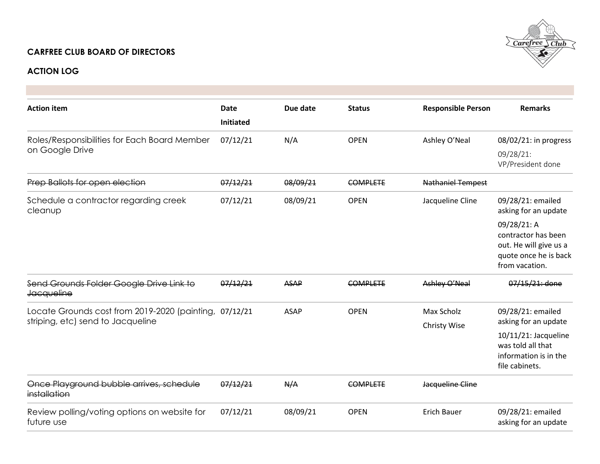## **CARFREE CLUB BOARD OF DIRECTORS**



## **ACTION LOG**

| <b>Action item</b>                                                                          | <b>Date</b><br><b>Initiated</b> | Due date    | <b>Status</b>   | <b>Responsible Person</b>  | <b>Remarks</b>                                                                                          |
|---------------------------------------------------------------------------------------------|---------------------------------|-------------|-----------------|----------------------------|---------------------------------------------------------------------------------------------------------|
| Roles/Responsibilities for Each Board Member<br>on Google Drive                             | 07/12/21                        | N/A         | <b>OPEN</b>     | Ashley O'Neal              | 08/02/21: in progress<br>09/28/21:<br>VP/President done                                                 |
| Prep Ballots for open election                                                              | 07/12/21                        | 08/09/21    | <b>COMPLETE</b> | <b>Nathaniel Tempest</b>   |                                                                                                         |
| Schedule a contractor regarding creek<br>cleanup                                            | 07/12/21                        | 08/09/21    | <b>OPEN</b>     | Jacqueline Cline           | 09/28/21: emailed<br>asking for an update                                                               |
|                                                                                             |                                 |             |                 |                            | 09/28/21: A<br>contractor has been<br>out. He will give us a<br>quote once he is back<br>from vacation. |
| Send Grounds Folder Google Drive Link to<br><b>Jacqueline</b>                               | 07/12/21                        | <b>ASAP</b> | <b>COMPLETE</b> | Ashley O'Neal              | 07/15/21: done                                                                                          |
| Locate Grounds cost from 2019-2020 (painting, 07/12/21<br>striping, etc) send to Jacqueline |                                 | <b>ASAP</b> | <b>OPEN</b>     | Max Scholz<br>Christy Wise | 09/28/21: emailed<br>asking for an update                                                               |
|                                                                                             |                                 |             |                 |                            | $10/11/21$ : Jacqueline<br>was told all that<br>information is in the<br>file cabinets.                 |
| Once Playground bubble arrives, schedule<br>installation                                    | 07/12/21                        | N/A         | <b>COMPLETE</b> | Jacqueline Cline           |                                                                                                         |
| Review polling/voting options on website for<br>future use                                  | 07/12/21                        | 08/09/21    | <b>OPEN</b>     | <b>Erich Bauer</b>         | 09/28/21: emailed<br>asking for an update                                                               |